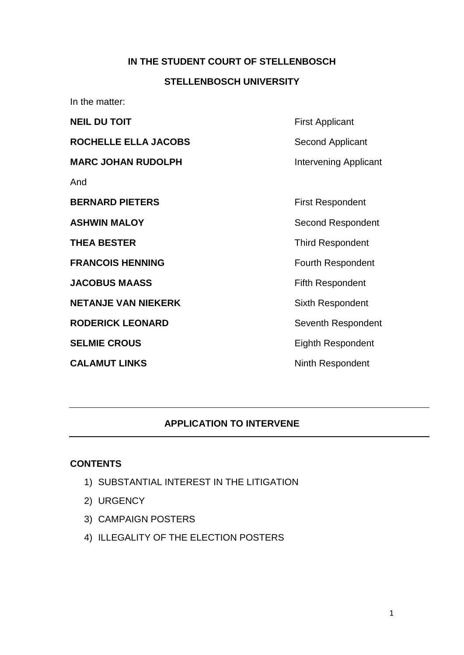### **IN THE STUDENT COURT OF STELLENBOSCH**

#### **STELLENBOSCH UNIVERSITY**

In the matter:

| <b>NEIL DU TOIT</b>        | <b>First Applicant</b>   |
|----------------------------|--------------------------|
| ROCHELLE ELLA JACOBS       | Second Applicant         |
| <b>MARC JOHAN RUDOLPH</b>  | Intervening Applicant    |
| And                        |                          |
| <b>BERNARD PIETERS</b>     | <b>First Respondent</b>  |
| <b>ASHWIN MALOY</b>        | Second Respondent        |
| <b>THEA BESTER</b>         | <b>Third Respondent</b>  |
| <b>FRANCOIS HENNING</b>    | <b>Fourth Respondent</b> |
| <b>JACOBUS MAASS</b>       | <b>Fifth Respondent</b>  |
| <b>NETANJE VAN NIEKERK</b> | Sixth Respondent         |
| <b>RODERICK LEONARD</b>    | Seventh Respondent       |
| <b>SELMIE CROUS</b>        | <b>Eighth Respondent</b> |
| <b>CALAMUT LINKS</b>       | <b>Ninth Respondent</b>  |
|                            |                          |

### **APPLICATION TO INTERVENE**

#### **CONTENTS**

- 1) SUBSTANTIAL INTEREST IN THE LITIGATION
- 2) URGENCY
- 3) CAMPAIGN POSTERS
- 4) ILLEGALITY OF THE ELECTION POSTERS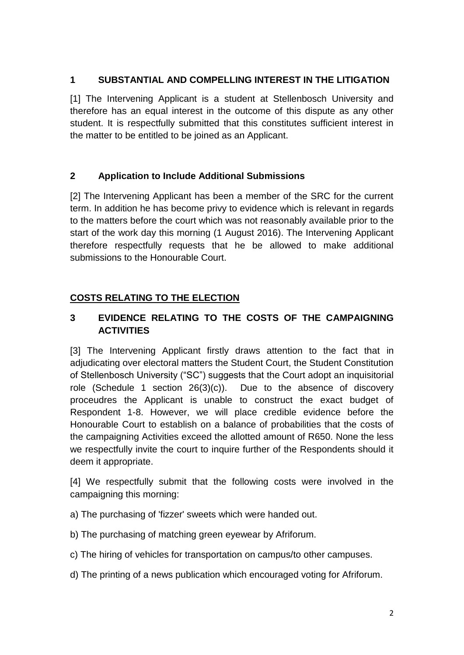## **1 SUBSTANTIAL AND COMPELLING INTEREST IN THE LITIGATION**

[1] The Intervening Applicant is a student at Stellenbosch University and therefore has an equal interest in the outcome of this dispute as any other student. It is respectfully submitted that this constitutes sufficient interest in the matter to be entitled to be joined as an Applicant.

## **2 Application to Include Additional Submissions**

[2] The Intervening Applicant has been a member of the SRC for the current term. In addition he has become privy to evidence which is relevant in regards to the matters before the court which was not reasonably available prior to the start of the work day this morning (1 August 2016). The Intervening Applicant therefore respectfully requests that he be allowed to make additional submissions to the Honourable Court.

# **COSTS RELATING TO THE ELECTION**

# **3 EVIDENCE RELATING TO THE COSTS OF THE CAMPAIGNING ACTIVITIES**

[3] The Intervening Applicant firstly draws attention to the fact that in adjudicating over electoral matters the Student Court, the Student Constitution of Stellenbosch University ("SC") suggests that the Court adopt an inquisitorial role (Schedule 1 section 26(3)(c)). Due to the absence of discovery proceudres the Applicant is unable to construct the exact budget of Respondent 1-8. However, we will place credible evidence before the Honourable Court to establish on a balance of probabilities that the costs of the campaigning Activities exceed the allotted amount of R650. None the less we respectfully invite the court to inquire further of the Respondents should it deem it appropriate.

[4] We respectfully submit that the following costs were involved in the campaigning this morning:

a) The purchasing of 'fizzer' sweets which were handed out.

b) The purchasing of matching green eyewear by Afriforum.

c) The hiring of vehicles for transportation on campus/to other campuses.

d) The printing of a news publication which encouraged voting for Afriforum.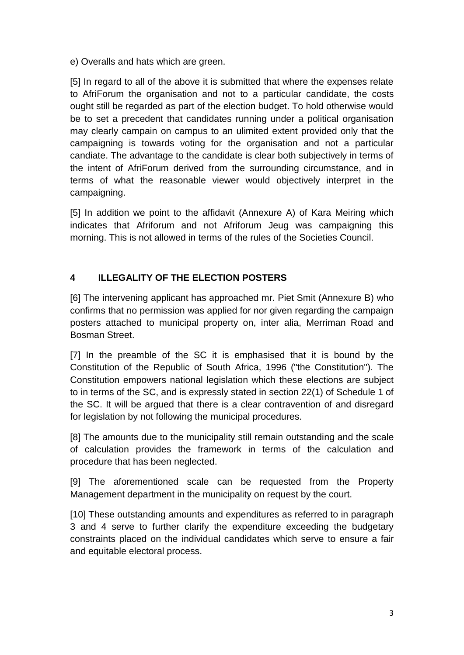e) Overalls and hats which are green.

[5] In regard to all of the above it is submitted that where the expenses relate to AfriForum the organisation and not to a particular candidate, the costs ought still be regarded as part of the election budget. To hold otherwise would be to set a precedent that candidates running under a political organisation may clearly campain on campus to an ulimited extent provided only that the campaigning is towards voting for the organisation and not a particular candiate. The advantage to the candidate is clear both subjectively in terms of the intent of AfriForum derived from the surrounding circumstance, and in terms of what the reasonable viewer would objectively interpret in the campaigning.

[5] In addition we point to the affidavit (Annexure A) of Kara Meiring which indicates that Afriforum and not Afriforum Jeug was campaigning this morning. This is not allowed in terms of the rules of the Societies Council.

# **4 ILLEGALITY OF THE ELECTION POSTERS**

[6] The intervening applicant has approached mr. Piet Smit (Annexure B) who confirms that no permission was applied for nor given regarding the campaign posters attached to municipal property on, inter alia, Merriman Road and Bosman Street.

[7] In the preamble of the SC it is emphasised that it is bound by the Constitution of the Republic of South Africa, 1996 ("the Constitution"). The Constitution empowers national legislation which these elections are subject to in terms of the SC, and is expressly stated in section 22(1) of Schedule 1 of the SC. It will be argued that there is a clear contravention of and disregard for legislation by not following the municipal procedures.

[8] The amounts due to the municipality still remain outstanding and the scale of calculation provides the framework in terms of the calculation and procedure that has been neglected.

[9] The aforementioned scale can be requested from the Property Management department in the municipality on request by the court.

[10] These outstanding amounts and expenditures as referred to in paragraph 3 and 4 serve to further clarify the expenditure exceeding the budgetary constraints placed on the individual candidates which serve to ensure a fair and equitable electoral process.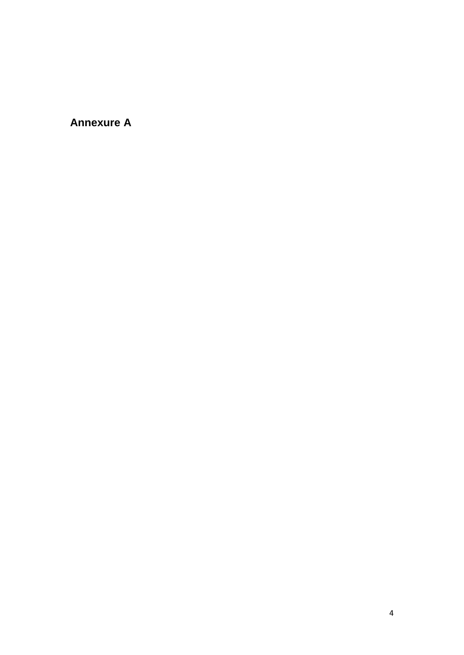**Annexure A**